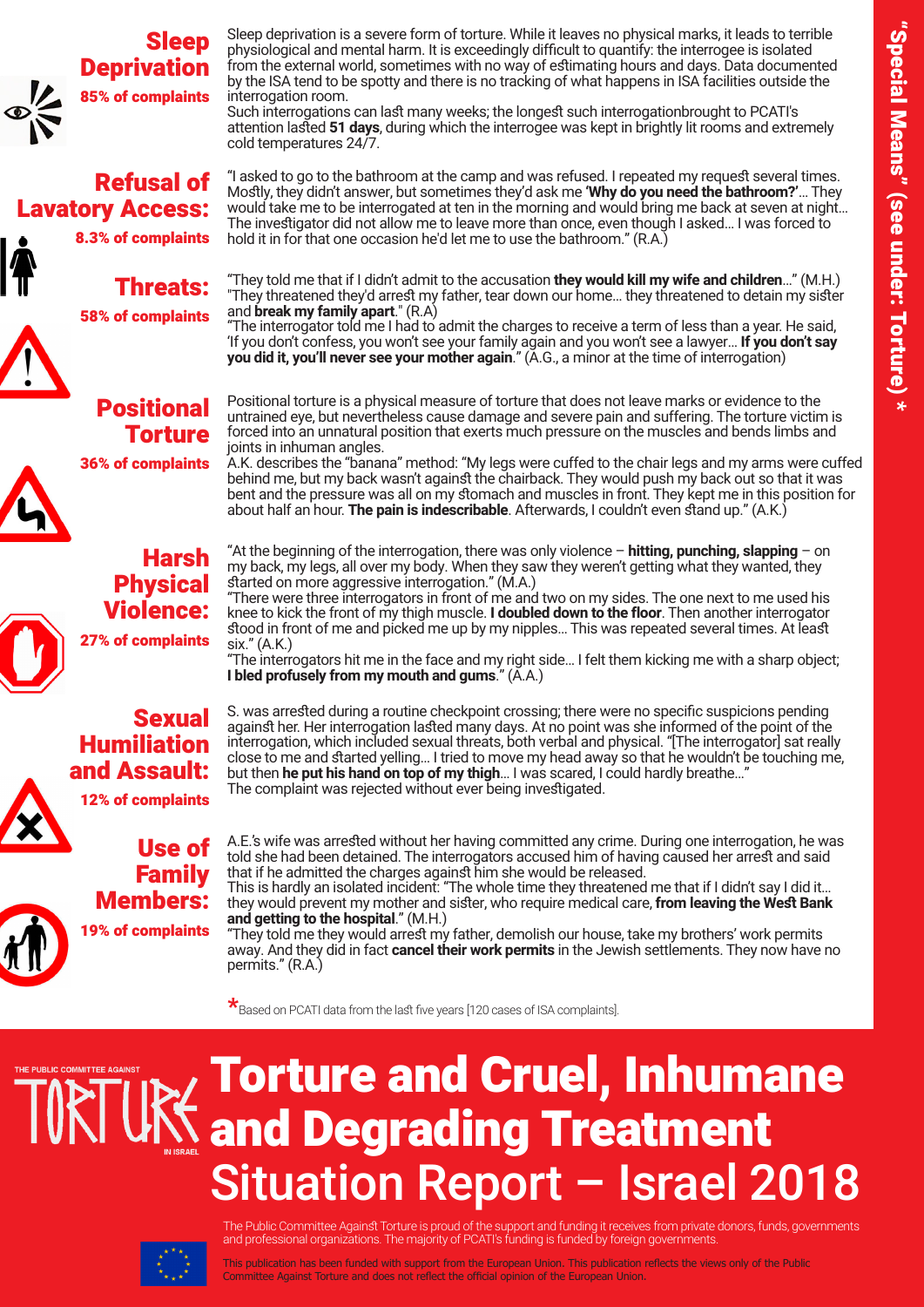

### **Refusal of Lavatory Access:**

8.3% of complaints



## :Threats

**58% of complaints** 



### Positional **Torture**

**36% of complaints** 







12% of complaints

Use of Family :Members



19% of complaints

Sleep deprivation is a severe form of torture. While it leaves no physical marks, it leads to terrible physiological and mental harm. It is exceedingly difficult to quantify: the interrogee is isolated from the external world, sometimes with no way of estimating hours and days. Data documented by the ISA tend to be spotty and there is no tracking of what happens in ISA facilities outside the interrogation room.

Such interrogations can last many weeks; the longest such interrogationbrought to PCATI's attention lasted 51 days, during which the interrogee was kept in brightly lit rooms and extremely cold temperatures 24/7.

"I asked to go to the bathroom at the camp and was refused. I repeated my request several times. Mostly, they didn't answer, but sometimes they'd ask me 'Why do you need the bathroom?'... They would take me to be interrogated at ten in the morning and would bring me back at seven at night... The investigator did not allow me to leave more than once, even though I asked... I was forced to hold it in for that one occasion he'd let me to use the bathroom." (R.A.)

"They told me that if I didn't admit to the accusation they would kill my wife and children..." (M.H.) "They threatened they'd arrest my father, tear down our home... they threatened to detain my sister and **break my family apart**." (R.A)

"The interrogator told me I had to admit the charges to receive a term of less than a year. He said, 'If you don't confess, you won't see your family again and you won't see a lawyer… **If you don't say you did it, you'll never see your mother again**." (A.G., a minor at the time of interrogation)

Positional torture is a physical measure of torture that does not leave marks or evidence to the untrained eye, but nevertheless cause damage and severe pain and suffering. The torture victim is forced into an unnatural position that exerts much pressure on the muscles and bends limbs and joints in inhuman angles.

A.K. describes the "banana" method: "My legs were cuffed to the chair legs and my arms were cuffed behind me, but my back wasn't against the chairback. They would push my back out so that it was bent and the pressure was all on my stomach and muscles in front. They kept me in this position for about half an hour. The pain is indescribable. Afterwards, I couldn't even stand up." (A.K.)

"At the beginning of the interrogation, there was only violence - **hitting, punching, slapping** - on my back, my legs, all over my body. When they saw they weren't getting what they wanted, they started on more aggressive interrogation." (M.A.)

"There were three interrogators in front of me and two on my sides. The one next to me used his knee to kick the front of my thigh muscle. **I doubled down to the floor**. Then another interrogator stood in front of me and picked me up by my nipples... This was repeated several times. At least  $six."$  (A.K.)

"The interrogators hit me in the face and my right side... I felt them kicking me with a sharp object; **I bled profusely from my mouth and gums.**" ( $\check{A}$ .A.)

S. was arrested during a routine checkpoint crossing; there were no specific suspicions pending against her. Her interrogation lasted many days. At no point was she informed of the point of the interrogation, which included sexual threats, both verbal and physical. "[The interrogator] sat really close to me and started yelling... I tried to move my head away so that he wouldn't be touching me, but then he put his hand on top of my thigh... I was scared, I could hardly breathe...<sup>4</sup> The complaint was rejected without ever being investigated.

A.E.'s wife was arrested without her having committed any crime. During one interrogation, he was told she had been detained. The interrogators accused him of having caused her arrest and said that if he admitted the charges against him she would be released.

This is hardly an isolated incident: "The whole time they threatened me that if I didn't say I did it… they would prevent my mother and sister, who require medical care, **from leaving the West Bank** and getting to the hospital." (M.H.)

"They told me they would arrest my father, demolish our house, take my brothers' work permits away. And they did in fact **cancel their work permits** in the Jewish settlements. They now have no permits." (R.A.)

 $\star_{\rm Based}$  on PCATI data from the last five years [120 cases of ISA complaints].



# **Torture and Cruel, Inhumane** and Degrading Treatment **Situation Report - Israel 2018**



The Public Committee Against Torture is proud of the support and funding it receives from private donors, funds, governments and professional organizations. The majority of PCATI's funding is funded by foreign governments.

This publication has been funded with support from the European Union. This publication reflects the views only of the Public Committee Against Torture and does not reflect the official opinion of the European Union.